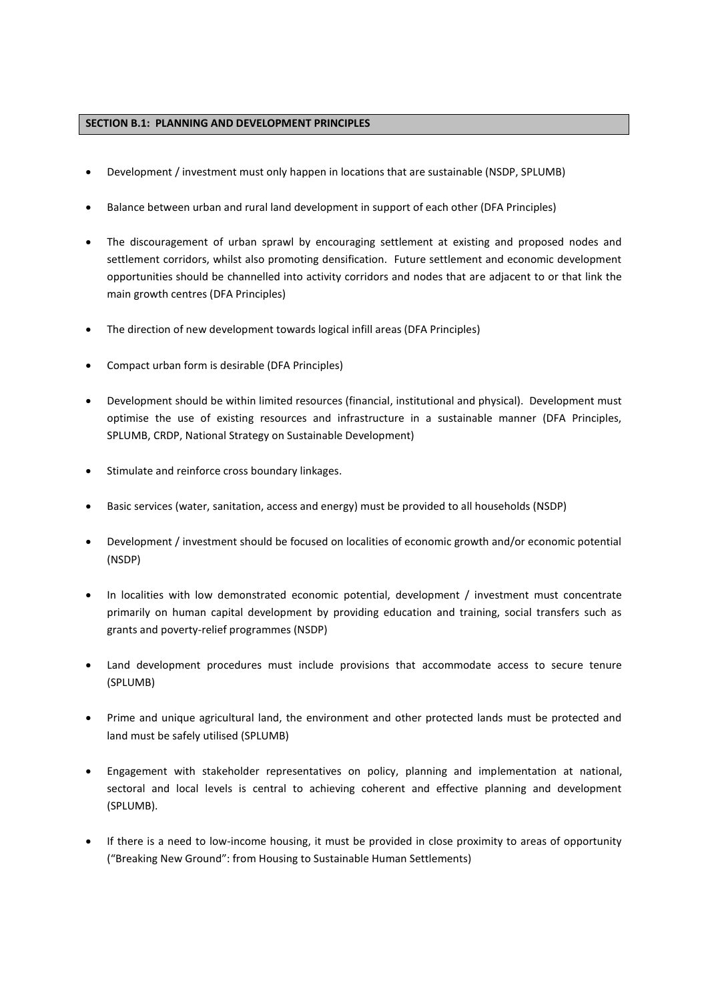## **SECTION B.1: PLANNING AND DEVELOPMENT PRINCIPLES**

- Development / investment must only happen in locations that are sustainable (NSDP, SPLUMB)
- Balance between urban and rural land development in support of each other (DFA Principles)
- The discouragement of urban sprawl by encouraging settlement at existing and proposed nodes and settlement corridors, whilst also promoting densification. Future settlement and economic development opportunities should be channelled into activity corridors and nodes that are adjacent to or that link the main growth centres (DFA Principles)
- The direction of new development towards logical infill areas (DFA Principles)
- Compact urban form is desirable (DFA Principles)
- Development should be within limited resources (financial, institutional and physical). Development must optimise the use of existing resources and infrastructure in a sustainable manner (DFA Principles, SPLUMB, CRDP, National Strategy on Sustainable Development)
- Stimulate and reinforce cross boundary linkages.
- Basic services (water, sanitation, access and energy) must be provided to all households (NSDP)
- Development / investment should be focused on localities of economic growth and/or economic potential (NSDP)
- In localities with low demonstrated economic potential, development / investment must concentrate primarily on human capital development by providing education and training, social transfers such as grants and poverty-relief programmes (NSDP)
- Land development procedures must include provisions that accommodate access to secure tenure (SPLUMB)
- Prime and unique agricultural land, the environment and other protected lands must be protected and land must be safely utilised (SPLUMB)
- Engagement with stakeholder representatives on policy, planning and implementation at national, sectoral and local levels is central to achieving coherent and effective planning and development (SPLUMB).
- If there is a need to low-income housing, it must be provided in close proximity to areas of opportunity ("Breaking New Ground": from Housing to Sustainable Human Settlements)